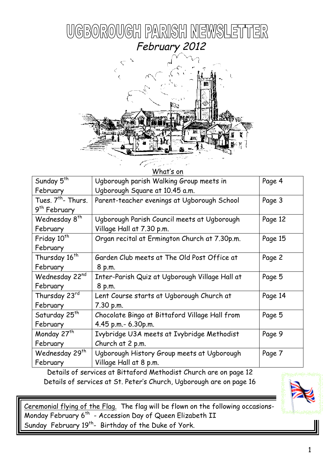



| What's on                     |                                                |         |  |  |
|-------------------------------|------------------------------------------------|---------|--|--|
| Sunday 5 <sup>th</sup>        | Ugborough parish Walking Group meets in        | Page 4  |  |  |
| February                      | Ugborough Square at 10.45 a.m.                 |         |  |  |
| Tues. 7 <sup>th</sup> -Thurs. | Parent-teacher evenings at Ugborough School    | Page 3  |  |  |
| 9 <sup>th</sup> February      |                                                |         |  |  |
| Wednesday 8 <sup>th</sup>     | Ugborough Parish Council meets at Ugborough    | Page 12 |  |  |
| February                      | Village Hall at 7.30 p.m.                      |         |  |  |
| Friday 10 <sup>th</sup>       | Organ recital at Ermington Church at 7.30p.m.  | Page 15 |  |  |
| February                      |                                                |         |  |  |
| Thursday 16 <sup>th</sup>     | Garden Club meets at The Old Post Office at    | Page 2  |  |  |
| February                      | 8 p.m.                                         |         |  |  |
| Wednesday 22nd                | Inter-Parish Quiz at Ugborough Village Hall at | Page 5  |  |  |
| February                      | 8 p.m.                                         |         |  |  |
| Thursday 23rd                 | Lent Course starts at Ugborough Church at      | Page 14 |  |  |
| February                      | 7.30 p.m.                                      |         |  |  |
| Saturday 25 <sup>th</sup>     | Chocolate Bingo at Bittaford Village Hall from | Page 5  |  |  |
| February                      | 4.45 p.m.- 6.30p.m.                            |         |  |  |
| Monday 27 <sup>th</sup>       | Ivybridge U3A meets at Ivybridge Methodist     | Page 9  |  |  |
| February                      | Church at 2 p.m.                               |         |  |  |
| Wednesday 29 <sup>th</sup>    | Ugborough History Group meets at Ugborough     | Page 7  |  |  |
| February                      | Village Hall at 8 p.m.                         |         |  |  |

Details of services at Bittaford Methodist Church are on page 12 Details of services at St. Peter's Church, Ugborough are on page 16



Ceremonial flying of the Flag. The flag will be flown on the following occasions-Monday February 6<sup>th</sup> - Accession Day of Queen Elizabeth II Sunday February 19<sup>th</sup>- Birthday of the Duke of York.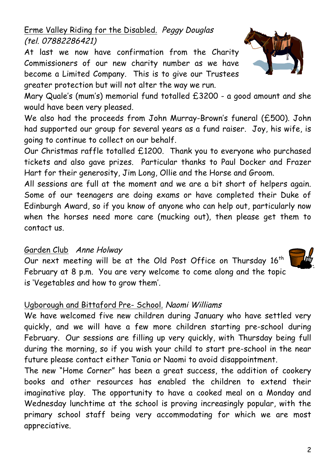2

## Erme Valley Riding for the Disabled. Peggy Douglas (tel. 07882286421)

At last we now have confirmation from the Charity Commissioners of our new charity number as we have become a Limited Company. This is to give our Trustees greater protection but will not alter the way we run.

Mary Quale's (mum's) memorial fund totalled £3200 - a good amount and she would have been very pleased.

We also had the proceeds from John Murray-Brown's funeral (£500). John had supported our group for several years as a fund raiser. Joy, his wife, is going to continue to collect on our behalf.

Our Christmas raffle totalled £1200. Thank you to everyone who purchased tickets and also gave prizes. Particular thanks to Paul Docker and Frazer Hart for their generosity, Jim Long, Ollie and the Horse and Groom.

All sessions are full at the moment and we are a bit short of helpers again. Some of our teenagers are doing exams or have completed their Duke of Edinburgh Award, so if you know of anyone who can help out, particularly now when the horses need more care (mucking out), then please get them to contact us.

### Garden Club Anne Holway

Our next meeting will be at the Old Post Office on Thursday 16<sup>th</sup> February at 8 p.m. You are very welcome to come along and the topic is 'Vegetables and how to grow them'.

## Ugborough and Bittaford Pre- School. Naomi Williams

We have welcomed five new children during January who have settled very quickly, and we will have a few more children starting pre-school during February. Our sessions are filling up very quickly, with Thursday being full during the morning, so if you wish your child to start pre-school in the near future please contact either Tania or Naomi to avoid disappointment.

The new "Home Corner" has been a great success, the addition of cookery books and other resources has enabled the children to extend their imaginative play. The opportunity to have a cooked meal on a Monday and Wednesday lunchtime at the school is proving increasingly popular, with the primary school staff being very accommodating for which we are most appreciative.



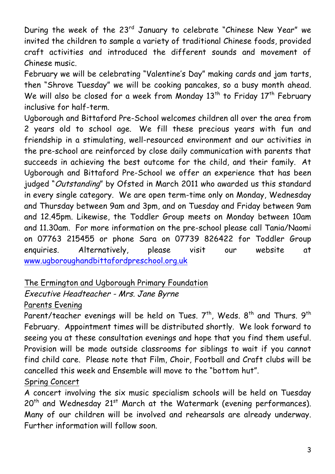During the week of the 23rd January to celebrate "Chinese New Year" we invited the children to sample a variety of traditional Chinese foods, provided craft activities and introduced the different sounds and movement of Chinese music.

February we will be celebrating "Valentine's Day" making cards and jam tarts, then "Shrove Tuesday" we will be cooking pancakes, so a busy month ahead. We will also be closed for a week from Monday  $13<sup>th</sup>$  to Friday  $17<sup>th</sup>$  February inclusive for half-term.

Ugborough and Bittaford Pre-School welcomes children all over the area from 2 years old to school age. We fill these precious years with fun and friendship in a stimulating, well-resourced environment and our activities in the pre-school are reinforced by close daily communication with parents that succeeds in achieving the best outcome for the child, and their family. At Ugborough and Bittaford Pre-School we offer an experience that has been judged "Outstanding" by Ofsted in March 2011 who awarded us this standard in every single category. We are open term-time only on Monday, Wednesday and Thursday between 9am and 3pm, and on Tuesday and Friday between 9am and 12.45pm. Likewise, the Toddler Group meets on Monday between 10am and 11.30am. For more information on the pre-school please call Tania/Naomi on 07763 215455 or phone Sara on 07739 826422 for Toddler Group enquiries. Alternatively, please visit our website at www.ugboroughandbittafordpreschool.org.uk

# The Ermington and Ugborough Primary Foundation

## Executive Headteacher - Mrs. Jane Byrne

### Parents Evening

Parent/teacher evenings will be held on Tues.  $7<sup>th</sup>$ , Weds.  $8<sup>th</sup>$  and Thurs.  $9<sup>th</sup>$ February. Appointment times will be distributed shortly. We look forward to seeing you at these consultation evenings and hope that you find them useful. Provision will be made outside classrooms for siblings to wait if you cannot find child care. Please note that Film, Choir, Football and Craft clubs will be cancelled this week and Ensemble will move to the "bottom hut". Spring Concert

A concert involving the six music specialism schools will be held on Tuesday  $20<sup>th</sup>$  and Wednesday 21st March at the Watermark (evening performances). Many of our children will be involved and rehearsals are already underway. Further information will follow soon.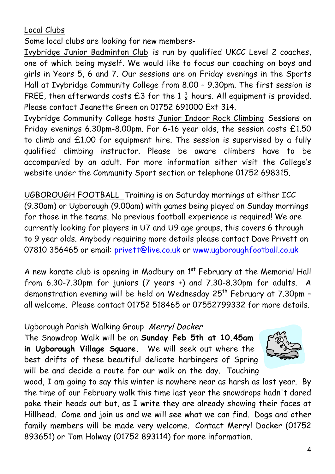Local Clubs

Some local clubs are looking for new members-

Ivybridge Junior Badminton Club is run by qualified UKCC Level 2 coaches, one of which being myself. We would like to focus our coaching on boys and girls in Years 5, 6 and 7. Our sessions are on Friday evenings in the Sports Hall at Ivybridge Community College from 8.00 – 9.30pm. The first session is FREE, then afterwards costs  $£3$  for the 1 $\frac{1}{2}$  hours. All equipment is provided. Please contact Jeanette Green on 01752 691000 Ext 314.

Ivybridge Community College hosts Junior Indoor Rock Climbing Sessions on Friday evenings 6.30pm-8.00pm. For 6-16 year olds, the session costs £1.50 to climb and £1.00 for equipment hire. The session is supervised by a fully qualified climbing instructor. Please be aware climbers have to be accompanied by an adult. For more information either visit the College's website under the Community Sport section or telephone 01752 698315.

UGBOROUGH FOOTBALL Training is on Saturday mornings at either ICC (9.30am) or Ugborough (9.00am) with games being played on Sunday mornings for those in the teams. No previous football experience is required! We are currently looking for players in U7 and U9 age groups, this covers 6 through to 9 year olds. Anybody requiring more details please contact Dave Privett on 07810 356465 or email: privett@live.co.uk or www.ugboroughfootball.co.uk

A new karate club is opening in Modbury on  $1<sup>st</sup>$  February at the Memorial Hall from 6.30-7.30pm for juniors (7 years +) and 7.30-8.30pm for adults. A demonstration evening will be held on Wednesday  $25<sup>th</sup>$  February at 7.30pm all welcome. Please contact 01752 518465 or 07552799332 for more details.

### Ugborough Parish Walking Group Merryl Docker

The Snowdrop Walk will be on **Sunday Feb 5th at 10.45am in Ugborough Village Square.** We will seek out where the best drifts of these beautiful delicate harbingers of Spring will be and decide a route for our walk on the day. Touching



wood, I am going to say this winter is nowhere near as harsh as last year. By the time of our February walk this time last year the snowdrops hadn't dared poke their heads out but, as I write they are already showing their faces at Hillhead. Come and join us and we will see what we can find. Dogs and other family members will be made very welcome. Contact Merryl Docker (01752 893651) or Tom Holway (01752 893114) for more information.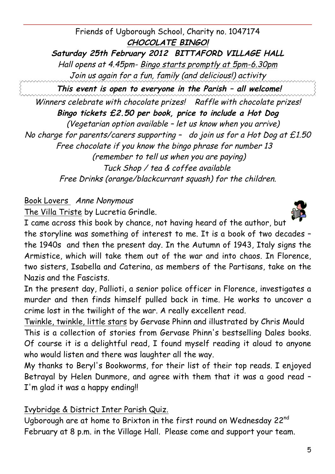Friends of Ugborough School, Charity no. 1047174 **CHOCOLATE BINGO! Saturday 25th February 2012 BITTAFORD VILLAGE HALL** Hall opens at 4.45pm- Bingo starts promptly at 5pm-6.30pm Join us again for a fun, family (and delicious!) activity **This event is open to everyone in the Parish – all welcome!**

Winners celebrate with chocolate prizes! Raffle with chocolate prizes! **Bingo tickets £2.50 per book, price to include a Hot Dog** (Vegetarian option available – let us know when you arrive) No charge for parents/carers supporting - do join us for a Hot Dog at £1.50 Free chocolate if you know the bingo phrase for number 13 (remember to tell us when you are paying) Tuck Shop / tea & coffee available Free Drinks (orange/blackcurrant squash) for the children.

## Book Lovers Anne Nonymous

The Villa Triste by Lucretia Grindle.

I came across this book by chance, not having heard of the author, but the storyline was something of interest to me. It is a book of two decades – the 1940s and then the present day. In the Autumn of 1943, Italy signs the Armistice, which will take them out of the war and into chaos. In Florence, two sisters, Isabella and Caterina, as members of the Partisans, take on the Nazis and the Fascists.

In the present day, Pallioti, a senior police officer in Florence, investigates a murder and then finds himself pulled back in time. He works to uncover a crime lost in the twilight of the war. A really excellent read.

Twinkle, twinkle, little stars by Gervase Phinn and illustrated by Chris Mould This is a collection of stories from Gervase Phinn's bestselling Dales books. Of course it is a delightful read, I found myself reading it aloud to anyone who would listen and there was laughter all the way.

My thanks to Beryl's Bookworms, for their list of their top reads. I enjoyed Betrayal by Helen Dunmore, and agree with them that it was a good read – I'm glad it was a happy ending!!

## Ivybridge & District Inter Parish Quiz.

Ugborough are at home to Brixton in the first round on Wednesday 22nd February at 8 p.m. in the Village Hall. Please come and support your team.



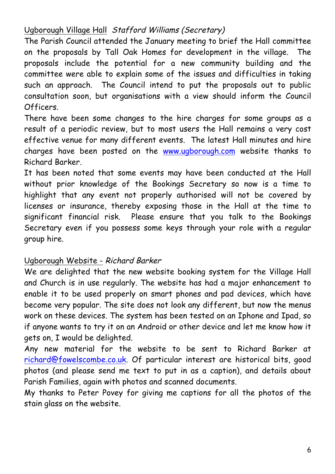## Ugborough Village Hall Stafford Williams (Secretary)

The Parish Council attended the January meeting to brief the Hall committee on the proposals by Tall Oak Homes for development in the village. The proposals include the potential for a new community building and the committee were able to explain some of the issues and difficulties in taking such an approach. The Council intend to put the proposals out to public consultation soon, but organisations with a view should inform the Council Officers.

There have been some changes to the hire charges for some groups as a result of a periodic review, but to most users the Hall remains a very cost effective venue for many different events. The latest Hall minutes and hire charges have been posted on the www.ugborough.com website thanks to Richard Barker.

It has been noted that some events may have been conducted at the Hall without prior knowledge of the Bookings Secretary so now is a time to highlight that any event not properly authorised will not be covered by licenses or insurance, thereby exposing those in the Hall at the time to significant financial risk. Please ensure that you talk to the Bookings Secretary even if you possess some keys through your role with a regular group hire.

### Ugborough Website - Richard Barker

We are delighted that the new website booking system for the Village Hall and Church is in use regularly. The website has had a major enhancement to enable it to be used properly on smart phones and pad devices, which have become very popular. The site does not look any different, but now the menus work on these devices. The system has been tested on an Iphone and Ipad, so if anyone wants to try it on an Android or other device and let me know how it gets on, I would be delighted.

Any new material for the website to be sent to Richard Barker at richard@fowelscombe.co.uk. Of particular interest are historical bits, good photos (and please send me text to put in as a caption), and details about Parish Families, again with photos and scanned documents.

My thanks to Peter Povey for giving me captions for all the photos of the stain glass on the website.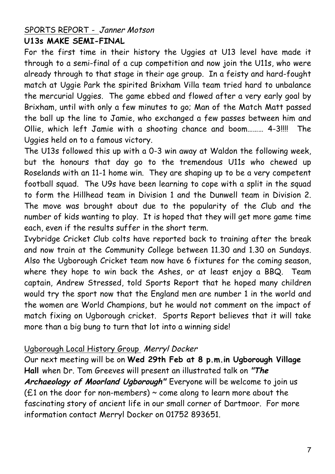#### SPORTS REPORT - Janner Motson **U13s MAKE SEMI-FINAL**

For the first time in their history the Uggies at U13 level have made it through to a semi-final of a cup competition and now join the U11s, who were already through to that stage in their age group. In a feisty and hard-fought match at Uggie Park the spirited Brixham Villa team tried hard to unbalance the mercurial Uggies. The game ebbed and flowed after a very early goal by Brixham, until with only a few minutes to go; Man of the Match Matt passed the ball up the line to Jamie, who exchanged a few passes between him and Ollie, which left Jamie with a shooting chance and boom……… 4-3!!!! The Uggies held on to a famous victory.

The U13s followed this up with a 0-3 win away at Waldon the following week, but the honours that day go to the tremendous U11s who chewed up Roselands with an 11-1 home win. They are shaping up to be a very competent football squad. The U9s have been learning to cope with a split in the squad to form the Hillhead team in Division 1 and the Dunwell team in Division 2. The move was brought about due to the popularity of the Club and the number of kids wanting to play. It is hoped that they will get more game time each, even if the results suffer in the short term.

Ivybridge Cricket Club colts have reported back to training after the break and now train at the Community College between 11.30 and 1.30 on Sundays. Also the Ugborough Cricket team now have 6 fixtures for the coming season, where they hope to win back the Ashes, or at least enjoy a BBQ. Team captain, Andrew Stressed, told Sports Report that he hoped many children would try the sport now that the England men are number 1 in the world and the women are World Champions, but he would not comment on the impact of match fixing on Ugborough cricket. Sports Report believes that it will take more than a big bung to turn that lot into a winning side!

### Ugborough Local History Group Merryl Docker

Our next meeting will be on **Wed 29th Feb at 8 p.m.in Ugborough Village Hall** when Dr. Tom Greeves will present an illustrated talk on **"The Archaeology of Moorland Ugborough"** Everyone will be welcome to join us ( $£1$  on the door for non-members)  $\sim$  come along to learn more about the fascinating story of ancient life in our small corner of Dartmoor. For more information contact Merryl Docker on 01752 893651.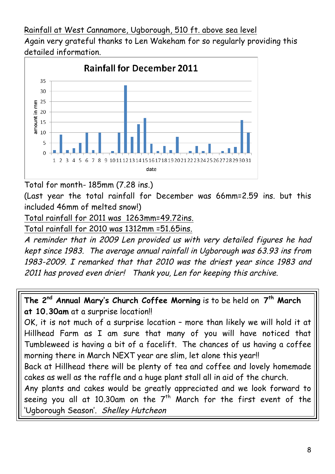Rainfall at West Cannamore, Ugborough, 510 ft. above sea level Again very grateful thanks to Len Wakeham for so regularly providing this detailed information.



Total for month- 185mm (7.28 ins.)

(Last year the total rainfall for December was 66mm=2.59 ins. but this included 46mm of melted snow!)

Total rainfall for 2011 was 1263mm=49.72ins.

Total rainfall for 2010 was 1312mm =51.65ins.

A reminder that in 2009 Len provided us with very detailed figures he had kept since 1983. The average annual rainfall in Ugborough was 63.93 ins from 1983-2009. I remarked that that 2010 was the driest year since 1983 and 2011 has proved even drier! Thank you, Len for keeping this archive.

**The 2nd Annual Mary's Church Coffee Morning** is to be held on **7th March at 10.30am** at a surprise location!!

OK, it is not much of a surprise location – more than likely we will hold it at Hillhead Farm as I am sure that many of you will have noticed that Tumbleweed is having a bit of a facelift. The chances of us having a coffee morning there in March NEXT year are slim, let alone this year!!

Back at Hillhead there will be plenty of tea and coffee and lovely homemade cakes as well as the raffle and a huge plant stall all in aid of the church.

Any plants and cakes would be greatly appreciated and we look forward to seeing you all at 10.30am on the  $7<sup>th</sup>$  March for the first event of the 'Ugborough Season'. Shelley Hutcheon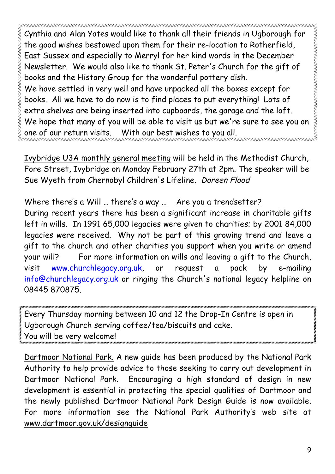Cynthia and Alan Yates would like to thank all their friends in Ugborough for the good wishes bestowed upon them for their re-location to Rotherfield, East Sussex and especially to Merryl for her kind words in the December Newsletter. We would also like to thank St. Peter's Church for the gift of books and the History Group for the wonderful pottery dish. We have settled in very well and have unpacked all the boxes except for books. All we have to do now is to find places to put everything! Lots of extra shelves are being inserted into cupboards, the garage and the loft. We hope that many of you will be able to visit us but we're sure to see you on one of our return visits. With our best wishes to you all.

Ivybridge U3A monthly general meeting will be held in the Methodist Church, Fore Street, Ivybridge on Monday February 27th at 2pm. The speaker will be Sue Wyeth from Chernobyl Children's Lifeline. Doreen Flood

## Where there's a Will … there's a way … Are you a trendsetter?

During recent years there has been a significant increase in charitable gifts left in wills. In 1991 65,000 legacies were given to charities; by 2001 84,000 legacies were received. Why not be part of this growing trend and leave a gift to the church and other charities you support when you write or amend your will? For more information on wills and leaving a gift to the Church, visit www.churchlegacy.org.uk, or request a pack by e-mailing info@churchlegacy.org.uk or ringing the Church's national legacy helpline on 08445 870875.

Every Thursday morning between 10 and 12 the Drop-In Centre is open in Ugborough Church serving coffee/tea/biscuits and cake. You will be very welcome!

Dartmoor National Park. A new guide has been produced by the National Park Authority to help provide advice to those seeking to carry out development in Dartmoor National Park. Encouraging a high standard of design in new development is essential in protecting the special qualities of Dartmoor and the newly published Dartmoor National Park Design Guide is now available. For more information see the National Park Authority's web site at www.dartmoor.gov.uk/designguide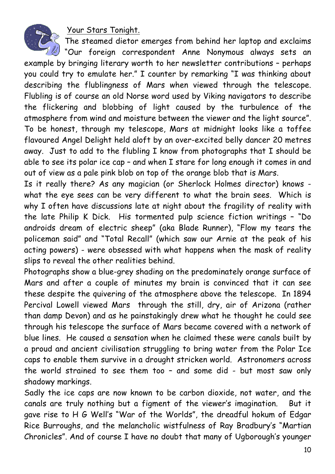Your Stars Tonight.



The steamed dietor emerges from behind her laptop and exclaims

 $\overline{\mathscr{U}}$  "Our foreign correspondent Anne Nonymous always sets an example by bringing literary worth to her newsletter contributions – perhaps you could try to emulate her." I counter by remarking "I was thinking about describing the flublingness of Mars when viewed through the telescope. Flubling is of course an old Norse word used by Viking navigators to describe the flickering and blobbing of light caused by the turbulence of the atmosphere from wind and moisture between the viewer and the light source". To be honest, through my telescope, Mars at midnight looks like a toffee flavoured Angel Delight held aloft by an over-excited belly dancer 20 metres away. Just to add to the flubling I know from photographs that I should be able to see its polar ice cap – and when I stare for long enough it comes in and out of view as a pale pink blob on top of the orange blob that is Mars.

Is it really there? As any magician (or Sherlock Holmes director) knows what the eye sees can be very different to what the brain sees. Which is why I often have discussions late at night about the fragility of reality with the late Philip K Dick. His tormented pulp science fiction writings – "Do androids dream of electric sheep" (aka Blade Runner), "Flow my tears the policeman said" and "Total Recall" (which saw our Arnie at the peak of his acting powers) - were obsessed with what happens when the mask of reality slips to reveal the other realities behind.

Photographs show a blue-grey shading on the predominately orange surface of Mars and after a couple of minutes my brain is convinced that it can see these despite the quivering of the atmosphere above the telescope. In 1894 Percival Lowell viewed Mars through the still, dry, air of Arizona (rather than damp Devon) and as he painstakingly drew what he thought he could see through his telescope the surface of Mars became covered with a network of blue lines. He caused a sensation when he claimed these were canals built by a proud and ancient civilisation struggling to bring water from the Polar Ice caps to enable them survive in a drought stricken world. Astronomers across the world strained to see them too – and some did - but most saw only shadowy markings.

Sadly the ice caps are now known to be carbon dioxide, not water, and the canals are truly nothing but a figment of the viewer's imagination. But it gave rise to H G Well's "War of the Worlds", the dreadful hokum of Edgar Rice Burroughs, and the melancholic wistfulness of Ray Bradbury's "Martian Chronicles". And of course I have no doubt that many of Ugborough's younger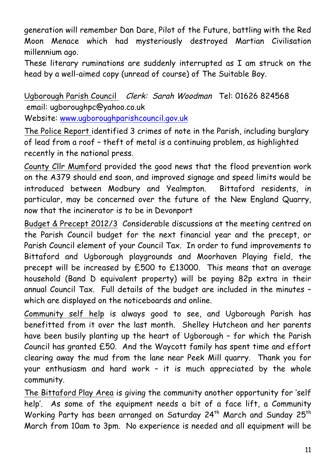generation will remember Dan Dare, Pilot of the Future, battling with the Red Moon Menace which had mysteriously destroyed Martian Civilisation millennium ago.

These literary ruminations are suddenly interrupted as I am struck on the head by a well-aimed copy (unread of course) of The Suitable Boy.

Ugborough Parish Council Clerk: Sarah Woodman Tel: 01626 824568 email: ugboroughpc@yahoo.co.uk

Website: www.ugboroughparishcouncil.gov.uk

The Police Report identified 3 crimes of note in the Parish, including burglary of lead from a roof – theft of metal is a continuing problem, as highlighted recently in the national press.

County Cllr Mumford provided the good news that the flood prevention work on the A379 should end soon, and improved signage and speed limits would be introduced between Modbury and Yealmpton. Bittaford residents, in particular, may be concerned over the future of the New England Quarry, now that the incinerator is to be in Devonport

Budget & Precept 2012/3 Considerable discussions at the meeting centred on the Parish Council budget for the next financial year and the precept, or Parish Council element of your Council Tax. In order to fund improvements to Bittaford and Ugborough playgrounds and Moorhaven Playing field, the precept will be increased by £500 to £13000. This means that an average household (Band D equivalent property) will be paying 82p extra in their annual Council Tax. Full details of the budget are included in the minutes – which are displayed on the noticeboards and online.

Community self help is always good to see, and Ugborough Parish has benefitted from it over the last month. Shelley Hutcheon and her parents have been busily planting up the heart of Ugborough – for which the Parish Council has granted £50. And the Waycott family has spent time and effort clearing away the mud from the lane near Peek Mill quarry. Thank you for your enthusiasm and hard work – it is much appreciated by the whole community.

The Bittaford Play Area is giving the community another opportunity for 'self help'. As some of the equipment needs a bit of a face lift, a Community Working Party has been arranged on Saturday 24<sup>th</sup> March and Sunday 25<sup>th</sup> March from 10am to 3pm. No experience is needed and all equipment will be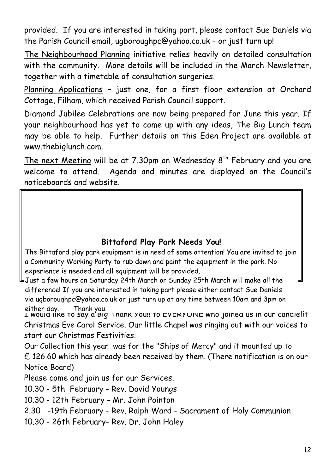provided. If you are interested in taking part, please contact Sue Daniels via the Parish Council email, ugboroughpc@yahoo.co.uk – or just turn up!

The Neighbourhood Planning initiative relies heavily on detailed consultation with the community. More details will be included in the March Newsletter, together with a timetable of consultation surgeries.

Planning Applications – just one, for a first floor extension at Orchard Cottage, Filham, which received Parish Council support.

Diamond Jubilee Celebrations are now being prepared for June this year. If your neighbourhood has yet to come up with any ideas, The Big Lunch team may be able to help. Further details on this Eden Project are available at www.thebiglunch.com.

The next Meeting will be at  $7.30$ pm on Wednesday  $8<sup>th</sup>$  February and you are welcome to attend. Agenda and minutes are displayed on the Council's noticeboards and website.

### **Bittaford Play Park Needs You!**

*Design Guide Text for Parish Newsletters and Websites* The Bittaford play park equipment is in need of some attention! You are invited to join a Community Working Party to rub down and paint the equipment in the park. No experience is needed and all equipment will be provided.

via agoor dagniper yanoo.co.ak or jash tarif ap at any time between 100 Just a few hours on Saturday 24th March or Sunday 25th March will make all the difference! If you are interested in taking part please either contact Sue Daniels via ugboroughpc@yahoo.co.uk or just turn up at any time between 10am and 3pm on either day. Thank you.

I would like to say a Big Thank You!! To EVERYONE who joined us in our candlelit Christmas Eve Carol Service. Our little Chapel was ringing out with our voices to start our Christmas Festivities.

Our Collection this year was for the "Ships of Mercy" and it mounted up to £ 126.60 which has already been received by them. (There notification is on our Notice Board)

Please come and join us for our Services.

10.30 - 5th February - Rev. David Youngs

10.30 - 12th February - Mr. John Pointon

2.30 -19th February - Rev. Ralph Ward - Sacrament of Holy Communion

10.30 - 26th February- Rev. Dr. John Haley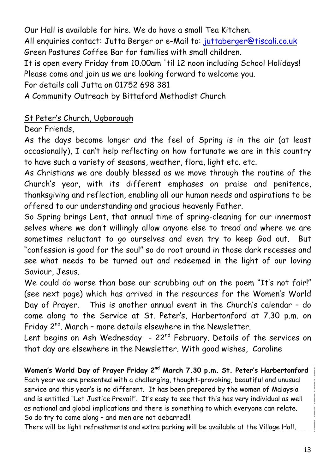Our Hall is available for hire. We do have a small Tea Kitchen.

All enquiries contact: Jutta Berger or e-Mail to: juttaberger@tiscali.co.uk Green Pastures Coffee Bar for families with small children.

It is open every Friday from 10.00am 'til 12 noon including School Holidays! Please come and join us we are looking forward to welcome you.

For details call Jutta on 01752 698 381

A Community Outreach by Bittaford Methodist Church

## St Peter's Church, Ugborough

Dear Friends,

As the days become longer and the feel of Spring is in the air (at least occasionally), I can't help reflecting on how fortunate we are in this country to have such a variety of seasons, weather, flora, light etc. etc.

As Christians we are doubly blessed as we move through the routine of the Church's year, with its different emphases on praise and penitence, thanksgiving and reflection, enabling all our human needs and aspirations to be offered to our understanding and gracious heavenly Father.

So Spring brings Lent, that annual time of spring-cleaning for our innermost selves where we don't willingly allow anyone else to tread and where we are sometimes reluctant to go ourselves and even try to keep God out. But "confession is good for the soul" so do root around in those dark recesses and see what needs to be turned out and redeemed in the light of our loving Saviour, Jesus.

We could do worse than base our scrubbing out on the poem "It's not fair!" (see next page) which has arrived in the resources for the Women's World Day of Prayer. This is another annual event in the Church's calendar – do come along to the Service at St. Peter's, Harbertonford at 7.30 p.m. on Friday  $2^{nd}$ . March - more details elsewhere in the Newsletter.

Lent begins on Ash Wednesday -  $22^{nd}$  February. Details of the services on that day are elsewhere in the Newsletter. With good wishes, Caroline

**Women's World Day of Prayer Friday 2nd March 7.30 p.m. St. Peter's Harbertonford** Each year we are presented with a challenging, thought-provoking, beautiful and unusual service and this year's is no different. It has been prepared by the women of Malaysia and is entitled "Let Justice Prevail". It's easy to see that this has very individual as well as national and global implications and there is something to which everyone can relate. So do try to come along – and men are not debarred!!!

There will be light refreshments and extra parking will be available at the Village Hall,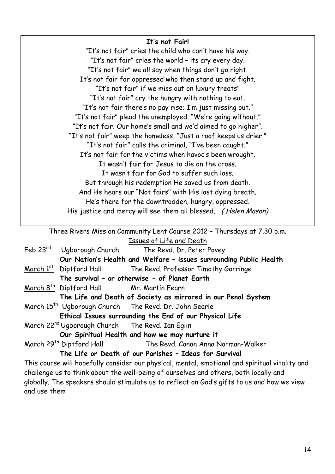#### **It's not Fair!**

"It's not fair" cries the child who can't have his way. "It's not fair" cries the world – its cry every day. "It's not fair" we all say when things don't go right. It's not fair for oppressed who then stand up and fight. "It's not fair" if we miss out on luxury treats" "It's not fair" cry the hungry with nothing to eat. "It's not fair there's no pay rise; I'm just missing out." "It's not fair" plead the unemployed. "We're going without." "It's not fair. Our home's small and we'd aimed to go higher". "It's not fair" weep the homeless, "Just a roof keeps us drier." "It's not fair" calls the criminal, "I've been caught." It's not fair for the victims when havoc's been wrought. It wasn't fair for Jesus to die on the cross. It wasn't fair for God to suffer such loss. But through his redemption He saved us from death. And He hears our "Not fairs" with His last dying breath. He's there for the downtrodden, hungry, oppressed. His justice and mercy will see them all blessed. ( Helen Mason)

Three Rivers Mission Community Lent Course 2012 – Thursdays at 7.30 p.m. Issues of Life and Death

|                                                             | <b>ISSUES UP LITE UND DEUTH</b>                                                                                                                                                                                                             |
|-------------------------------------------------------------|---------------------------------------------------------------------------------------------------------------------------------------------------------------------------------------------------------------------------------------------|
|                                                             | Feb 23rd Ugborough Church The Revd. Dr. Peter Povey                                                                                                                                                                                         |
|                                                             | Our Nation's Health and Welfare - issues surrounding Public Health                                                                                                                                                                          |
|                                                             | March 1 <sup>st</sup> Diptford Hall The Revd. Professor Timothy Gorringe                                                                                                                                                                    |
|                                                             | The survival - or otherwise - of Planet Earth                                                                                                                                                                                               |
| March 8 <sup>th</sup> Diptford Hall Mr. Martin Fearn        |                                                                                                                                                                                                                                             |
|                                                             | The Life and Death of Society as mirrored in our Penal System                                                                                                                                                                               |
|                                                             | March 15 <sup>th</sup> Ugborough Church The Revd. Dr. John Searle                                                                                                                                                                           |
|                                                             | Ethical Issues surrounding the End of our Physical Life                                                                                                                                                                                     |
| March 22 <sup>nd</sup> Ugborough Church The Revd. Ian Eglin |                                                                                                                                                                                                                                             |
|                                                             | Our Spiritual Health and how we may nurture it                                                                                                                                                                                              |
| March 29th Diptford Hall                                    | The Revd. Canon Anna Norman-Walker                                                                                                                                                                                                          |
|                                                             | The Life or Death of our Parishes - Ideas for Survival                                                                                                                                                                                      |
|                                                             | This course will hopefully consider our physical, mental, emotional and spiritual vitality and                                                                                                                                              |
|                                                             | $\mathbf{I} \cdot \mathbf{II}$ and the contract of the contract of the contract of the contract of the contract of the contract of the contract of the contract of the contract of the contract of the contract of the contract of the cont |

challenge us to think about the well-being of ourselves and others, both locally and globally. The speakers should stimulate us to reflect on God's gifts to us and how we view and use them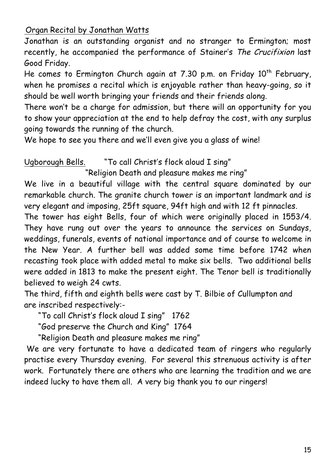Organ Recital by Jonathan Watts

Jonathan is an outstanding organist and no stranger to Ermington; most recently, he accompanied the performance of Stainer's The Crucifixion last Good Friday.

He comes to Ermington Church again at 7.30 p.m. on Friday  $10^{th}$  February, when he promises a recital which is enjoyable rather than heavy-going, so it should be well worth bringing your friends and their friends along.

There won't be a charge for admission, but there will an opportunity for you to show your appreciation at the end to help defray the cost, with any surplus going towards the running of the church.

We hope to see you there and we'll even give you a glass of wine!

Ugborough Bells. "To call Christ's flock aloud I sing"

"Religion Death and pleasure makes me ring"

We live in a beautiful village with the central square dominated by our remarkable church. The granite church tower is an important landmark and is very elegant and imposing, 25ft square, 94ft high and with 12 ft pinnacles.

The tower has eight Bells, four of which were originally placed in 1553/4. They have rung out over the years to announce the services on Sundays, weddings, funerals, events of national importance and of course to welcome in the New Year. A further bell was added some time before 1742 when recasting took place with added metal to make six bells. Two additional bells were added in 1813 to make the present eight. The Tenor bell is traditionally believed to weigh 24 cwts.

The third, fifth and eighth bells were cast by T. Bilbie of Cullumpton and are inscribed respectively:-

"To call Christ's flock aloud I sing" 1762

"God preserve the Church and King" 1764

"Religion Death and pleasure makes me ring"

We are very fortunate to have a dedicated team of ringers who regularly practise every Thursday evening. For several this strenuous activity is after work. Fortunately there are others who are learning the tradition and we are indeed lucky to have them all. A very big thank you to our ringers!